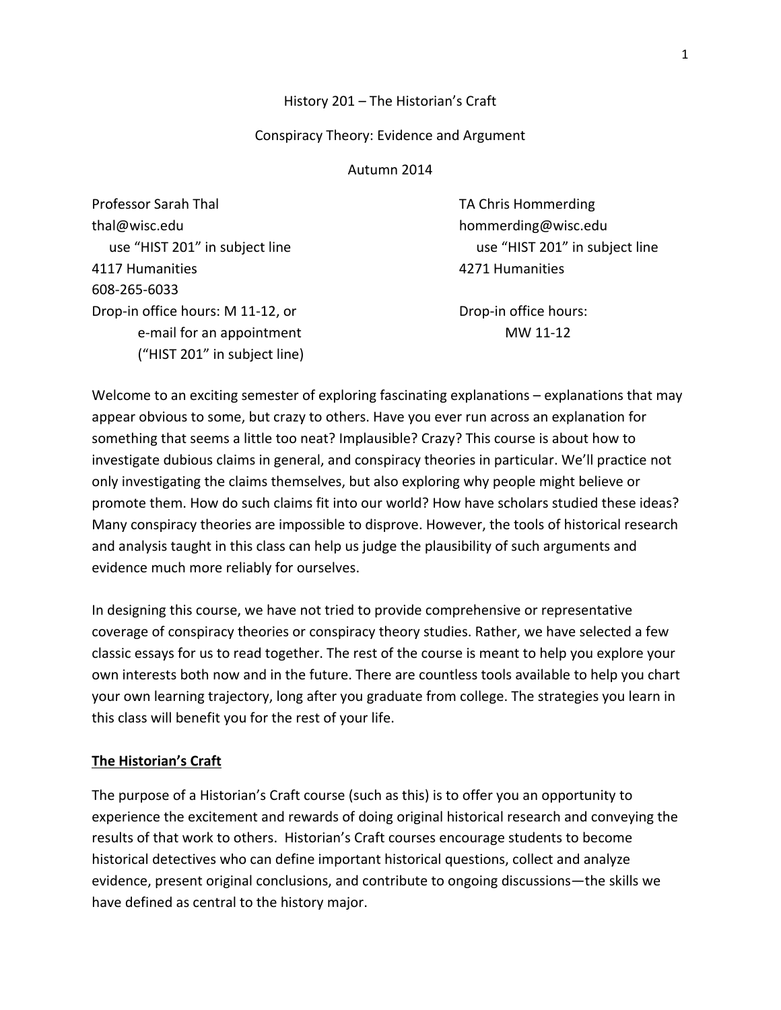## History 201 – The Historian's Craft

### Conspiracy Theory: Evidence and Argument

#### Autumn 2014

Professor Sarah Thal **Thank Thank Thank Thank TA Chris Hommerding** thal@wisc.edu hommerding@wisc.edu use "HIST 201" in subject line use "HIST 201" in subject line 4117 Humanities 4271 Humanities 608‐265‐6033 Drop-in office hours: M 11-12, or **Drop-in office hours:** e‐mail for an appointment MW 11‐12 ("HIST 201" in subject line)

Welcome to an exciting semester of exploring fascinating explanations – explanations that may appear obvious to some, but crazy to others. Have you ever run across an explanation for something that seems a little too neat? Implausible? Crazy? This course is about how to investigate dubious claims in general, and conspiracy theories in particular. We'll practice not only investigating the claims themselves, but also exploring why people might believe or promote them. How do such claims fit into our world? How have scholars studied these ideas? Many conspiracy theories are impossible to disprove. However, the tools of historical research and analysis taught in this class can help us judge the plausibility of such arguments and evidence much more reliably for ourselves.

In designing this course, we have not tried to provide comprehensive or representative coverage of conspiracy theories or conspiracy theory studies. Rather, we have selected a few classic essays for us to read together. The rest of the course is meant to help you explore your own interests both now and in the future. There are countless tools available to help you chart your own learning trajectory, long after you graduate from college. The strategies you learn in this class will benefit you for the rest of your life.

## **The Historian's Craft**

The purpose of a Historian's Craft course (such as this) is to offer you an opportunity to experience the excitement and rewards of doing original historical research and conveying the results of that work to others. Historian's Craft courses encourage students to become historical detectives who can define important historical questions, collect and analyze evidence, present original conclusions, and contribute to ongoing discussions—the skills we have defined as central to the history major.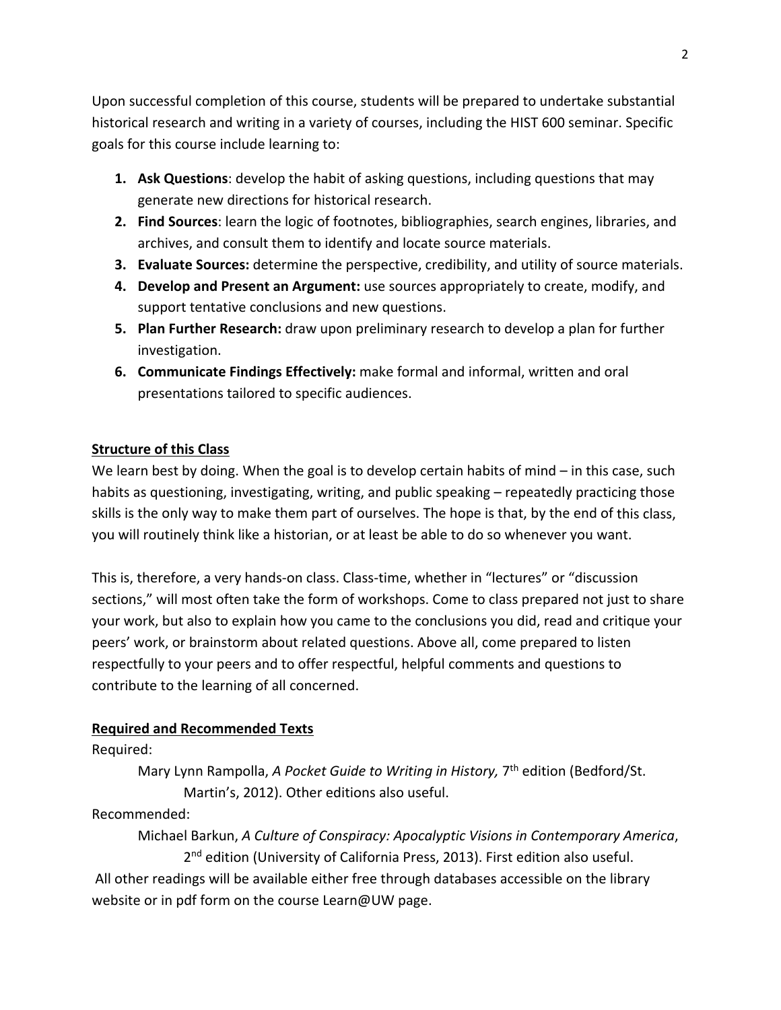Upon successful completion of this course, students will be prepared to undertake substantial historical research and writing in a variety of courses, including the HIST 600 seminar. Specific goals for this course include learning to:

- **1. Ask Questions**: develop the habit of asking questions, including questions that may generate new directions for historical research.
- **2. Find Sources**: learn the logic of footnotes, bibliographies, search engines, libraries, and archives, and consult them to identify and locate source materials.
- **3. Evaluate Sources:** determine the perspective, credibility, and utility of source materials.
- **4. Develop and Present an Argument:** use sources appropriately to create, modify, and support tentative conclusions and new questions.
- **5. Plan Further Research:** draw upon preliminary research to develop a plan for further investigation.
- **6. Communicate Findings Effectively:** make formal and informal, written and oral presentations tailored to specific audiences.

## **Structure of this Class**

We learn best by doing. When the goal is to develop certain habits of mind – in this case, such habits as questioning, investigating, writing, and public speaking – repeatedly practicing those skills is the only way to make them part of ourselves. The hope is that, by the end of this class, you will routinely think like a historian, or at least be able to do so whenever you want.

This is, therefore, a very hands‐on class. Class‐time, whether in "lectures" or "discussion sections," will most often take the form of workshops. Come to class prepared not just to share your work, but also to explain how you came to the conclusions you did, read and critique your peers' work, or brainstorm about related questions. Above all, come prepared to listen respectfully to your peers and to offer respectful, helpful comments and questions to contribute to the learning of all concerned.

## **Required and Recommended Texts**

Required:

Mary Lynn Rampolla, *A Pocket Guide to Writing in History,* 7th edition (Bedford/St. Martin's, 2012). Other editions also useful.

## Recommended:

Michael Barkun, *A Culture of Conspiracy: Apocalyptic Visions in Contemporary America*, 2<sup>nd</sup> edition (University of California Press, 2013). First edition also useful.

All other readings will be available either free through databases accessible on the library website or in pdf form on the course Learn@UW page.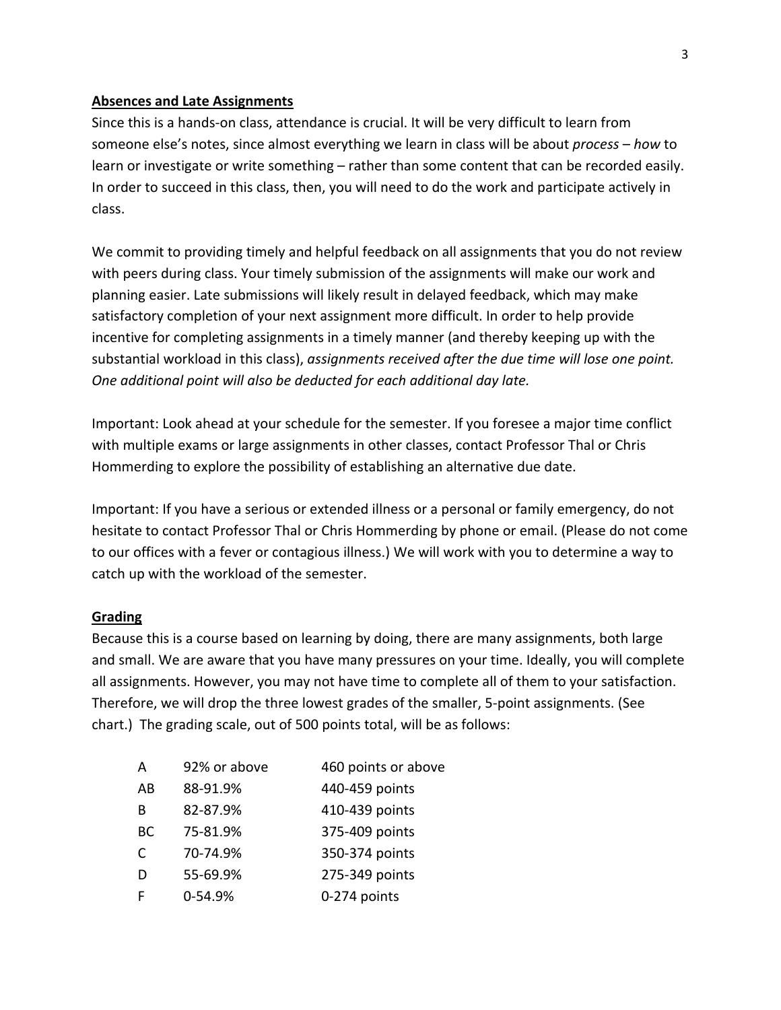### **Absences and Late Assignments**

Since this is a hands‐on class, attendance is crucial. It will be very difficult to learn from someone else's notes, since almost everything we learn in class will be about *process* – *how* to learn or investigate or write something – rather than some content that can be recorded easily. In order to succeed in this class, then, you will need to do the work and participate actively in class.

We commit to providing timely and helpful feedback on all assignments that you do not review with peers during class. Your timely submission of the assignments will make our work and planning easier. Late submissions will likely result in delayed feedback, which may make satisfactory completion of your next assignment more difficult. In order to help provide incentive for completing assignments in a timely manner (and thereby keeping up with the substantial workload in this class), *assignments received after the due time will lose one point. One additional point will also be deducted for each additional day late.*

Important: Look ahead at your schedule for the semester. If you foresee a major time conflict with multiple exams or large assignments in other classes, contact Professor Thal or Chris Hommerding to explore the possibility of establishing an alternative due date.

Important: If you have a serious or extended illness or a personal or family emergency, do not hesitate to contact Professor Thal or Chris Hommerding by phone or email. (Please do not come to our offices with a fever or contagious illness.) We will work with you to determine a way to catch up with the workload of the semester.

## **Grading**

Because this is a course based on learning by doing, there are many assignments, both large and small. We are aware that you have many pressures on your time. Ideally, you will complete all assignments. However, you may not have time to complete all of them to your satisfaction. Therefore, we will drop the three lowest grades of the smaller, 5‐point assignments. (See chart.) The grading scale, out of 500 points total, will be as follows:

| A  | 92% or above | 460 points or above |
|----|--------------|---------------------|
| AB | 88-91.9%     | 440-459 points      |
| B  | 82-87.9%     | 410-439 points      |
| BC | 75-81.9%     | 375-409 points      |
| C  | 70-74.9%     | 350-374 points      |
| D  | 55-69.9%     | 275-349 points      |
|    | 0-54.9%      | 0-274 points        |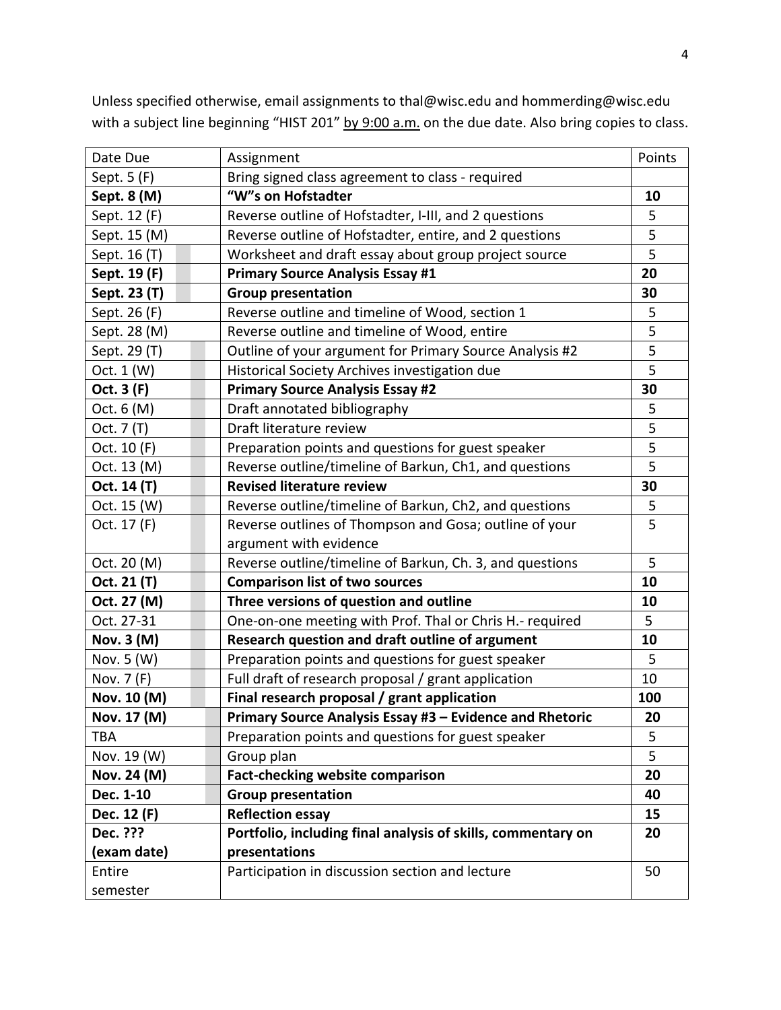Date Due Resignment Assignment Points Points Points Points Points Points Points Points Points Points Points Points Points Points Points Points Points Points Points Points Points Points Points Points Points Points Points Po Sept. 5 (F) **Bring signed class agreement to class** - required **Sept. 8 (M) "W"s on Hofstadter 10** Sept. 12 (F) Reverse outline of Hofstadter, I‐III, and 2 questions 5 Sept. 15 (M) Reverse outline of Hofstadter, entire, and 2 questions 15 Sept. 16 (T) Worksheet and draft essay about group project source  $\begin{array}{|c|c|c|c|c|}\n\hline\n\text{S} & \text{S} & \text{S} \\
\hline\n\end{array}$ **Sept. 19 (F) Primary Source Analysis Essay #1 20 Sept. 23 (T) Group presentation 30** Sept. 26 (F) Reverse outline and timeline of Wood, section 1 **1** 5 Sept. 28 (M) Reverse outline and timeline of Wood, entire **1998** Sept. 28 (M) Sept. 28 (M) Sept. 29 (T) Outline of your argument for Primary Source Analysis #2 5 Oct. 1 (W) | Historical Society Archives investigation due | 5 **Oct. 3 (F) Primary Source Analysis Essay #2 30** Oct. 6 (M) Constructed bibliography Construction of the Draft annotated bibliography Oct. 7 (T) Draft literature review and the set of the set of the set of the set of the set of the set of the set of the set of the set of the set of the set of the set of the set of the set of the set of the set of the set Oct. 10 (F) Preparation points and questions for guest speaker **1** 5 Oct. 13 (M) Reverse outline/timeline of Barkun, Ch1, and questions 3. [2015] **Oct. 14 (T) Revised literature review 30** Oct. 15 (W) Reverse outline/timeline of Barkun, Ch2, and questions 3. [2015] Oct. 17 (F) Reverse outlines of Thompson and Gosa; outline of your argument with evidence 5 Oct. 20 (M) Reverse outline/timeline of Barkun, Ch. 3, and questions 5 **Oct. 21 (T) Comparison list of two sources 10 Oct. 27 (M) Three versions of question and outline 10** Oct. 27‐31 One‐on‐one meeting with Prof. Thal or Chris H.‐ required 5 **Nov. 3 (M) Research question and draft outline of argument 10** Nov. 5 (W) Preparation points and questions for guest speaker  $\vert$  5 Nov. 7 (F)  $\vert$  Full draft of research proposal / grant application  $\vert$  10 **Nov. 10 (M) Final research proposal / grant application 100 Nov. 17 (M) Primary Source Analysis Essay #3 – Evidence and Rhetoric 20** TBA Preparation points and questions for guest speaker S Nov. 19 (W) Group plan 5 **Nov. 24 (M) Fact‐checking website comparison 20 Dec. 1‐10 Group presentation 40 Dec. 12 (F) Reflection essay 15 Dec. ??? (exam date) Portfolio, including final analysis of skills, commentary on presentations 20** Entire semester Participation in discussion section and lecture **1996 1997 1998** 

Unless specified otherwise, email assignments to thal@wisc.edu and hommerding@wisc.edu with a subject line beginning "HIST 201" by 9:00 a.m. on the due date. Also bring copies to class.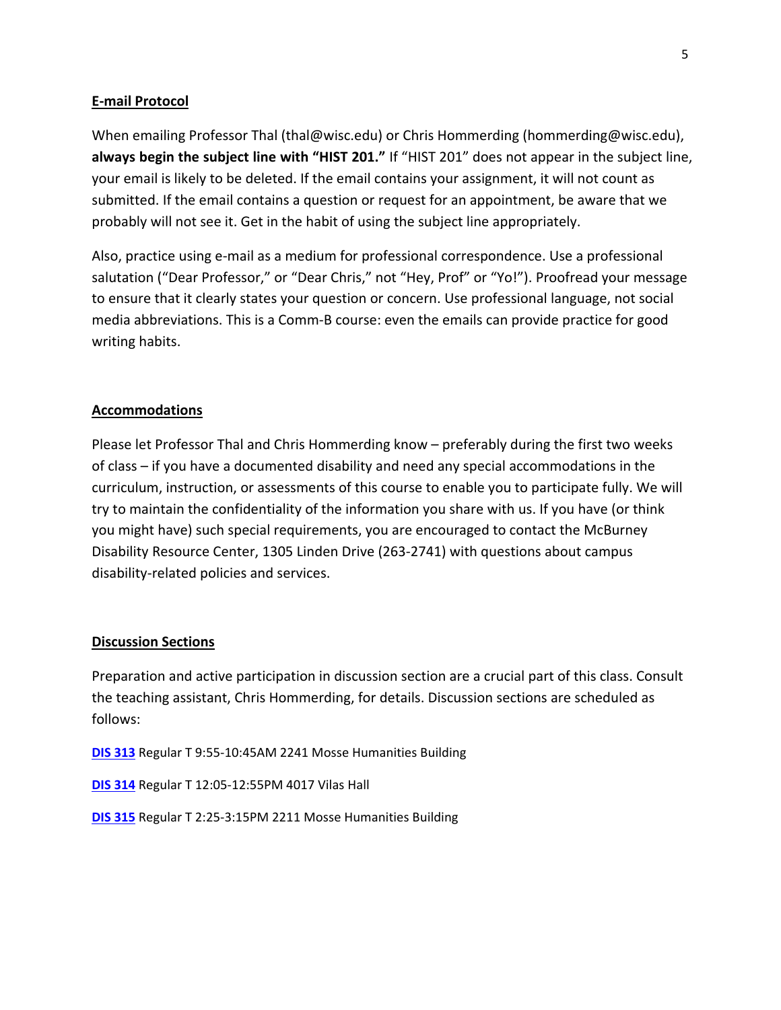### **E‐mail Protocol**

When emailing Professor Thal (thal@wisc.edu) or Chris Hommerding (hommerding@wisc.edu), **always begin the subject line with "HIST 201."** If "HIST 201" does not appear in the subject line, your email is likely to be deleted. If the email contains your assignment, it will not count as submitted. If the email contains a question or request for an appointment, be aware that we probably will not see it. Get in the habit of using the subject line appropriately.

Also, practice using e‐mail as a medium for professional correspondence. Use a professional salutation ("Dear Professor," or "Dear Chris," not "Hey, Prof" or "Yo!"). Proofread your message to ensure that it clearly states your question or concern. Use professional language, not social media abbreviations. This is a Comm‐B course: even the emails can provide practice for good writing habits.

#### **Accommodations**

Please let Professor Thal and Chris Hommerding know – preferably during the first two weeks of class – if you have a documented disability and need any special accommodations in the curriculum, instruction, or assessments of this course to enable you to participate fully. We will try to maintain the confidentiality of the information you share with us. If you have (or think you might have) such special requirements, you are encouraged to contact the McBurney Disability Resource Center, 1305 Linden Drive (263‐2741) with questions about campus disability‐related policies and services.

#### **Discussion Sections**

Preparation and active participation in discussion section are a crucial part of this class. Consult the teaching assistant, Chris Hommerding, for details. Discussion sections are scheduled as follows:

**DIS 313** Regular T 9:55‐10:45AM 2241 Mosse Humanities Building

**DIS 314** Regular T 12:05‐12:55PM 4017 Vilas Hall

**DIS 315** Regular T 2:25‐3:15PM 2211 Mosse Humanities Building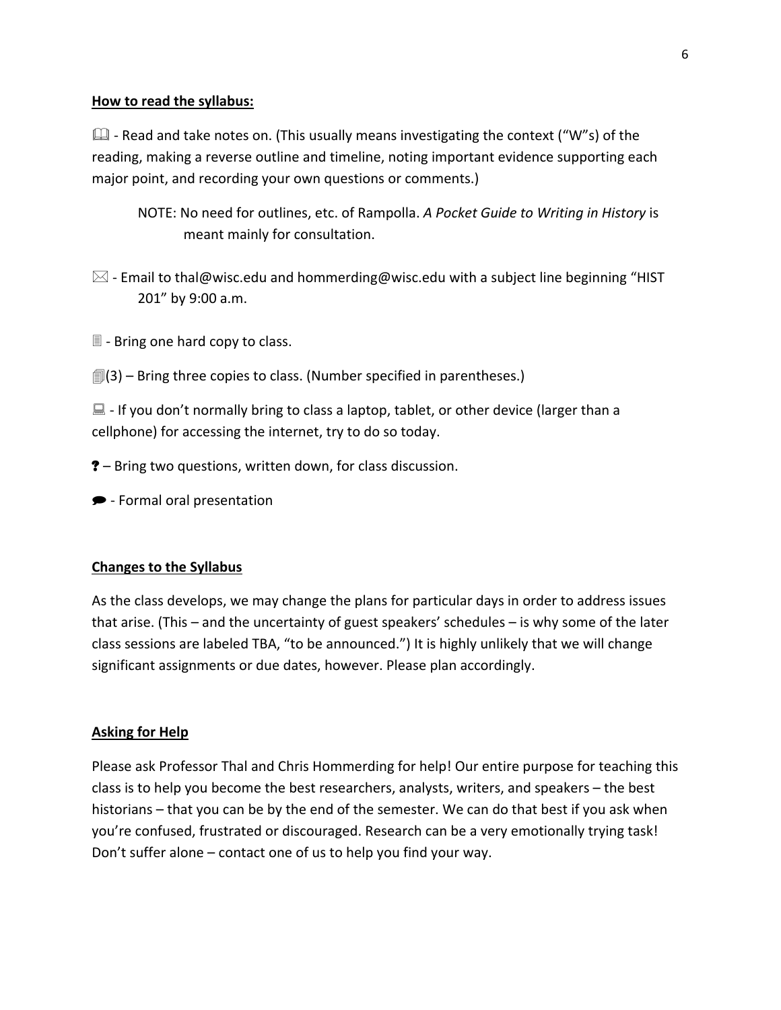#### **How to read the syllabus:**

 $\Box$  - Read and take notes on. (This usually means investigating the context ("W"s) of the reading, making a reverse outline and timeline, noting important evidence supporting each major point, and recording your own questions or comments.)

- NOTE: No need for outlines, etc. of Rampolla. *A Pocket Guide to Writing in History* is meant mainly for consultation.
- $\boxtimes$  Email to thal@wisc.edu and hommerding@wisc.edu with a subject line beginning "HIST 201" by 9:00 a.m.
- ‐ Bring one hard copy to class.
- $[$ [3] Bring three copies to class. (Number specified in parentheses.)

 $\Box$  - If you don't normally bring to class a laptop, tablet, or other device (larger than a cellphone) for accessing the internet, try to do so today.

- ? Bring two questions, written down, for class discussion.
- ‐ Formal oral presentation

#### **Changes to the Syllabus**

As the class develops, we may change the plans for particular days in order to address issues that arise. (This – and the uncertainty of guest speakers' schedules – is why some of the later class sessions are labeled TBA, "to be announced.") It is highly unlikely that we will change significant assignments or due dates, however. Please plan accordingly.

#### **Asking for Help**

Please ask Professor Thal and Chris Hommerding for help! Our entire purpose for teaching this class is to help you become the best researchers, analysts, writers, and speakers – the best historians – that you can be by the end of the semester. We can do that best if you ask when you're confused, frustrated or discouraged. Research can be a very emotionally trying task! Don't suffer alone – contact one of us to help you find your way.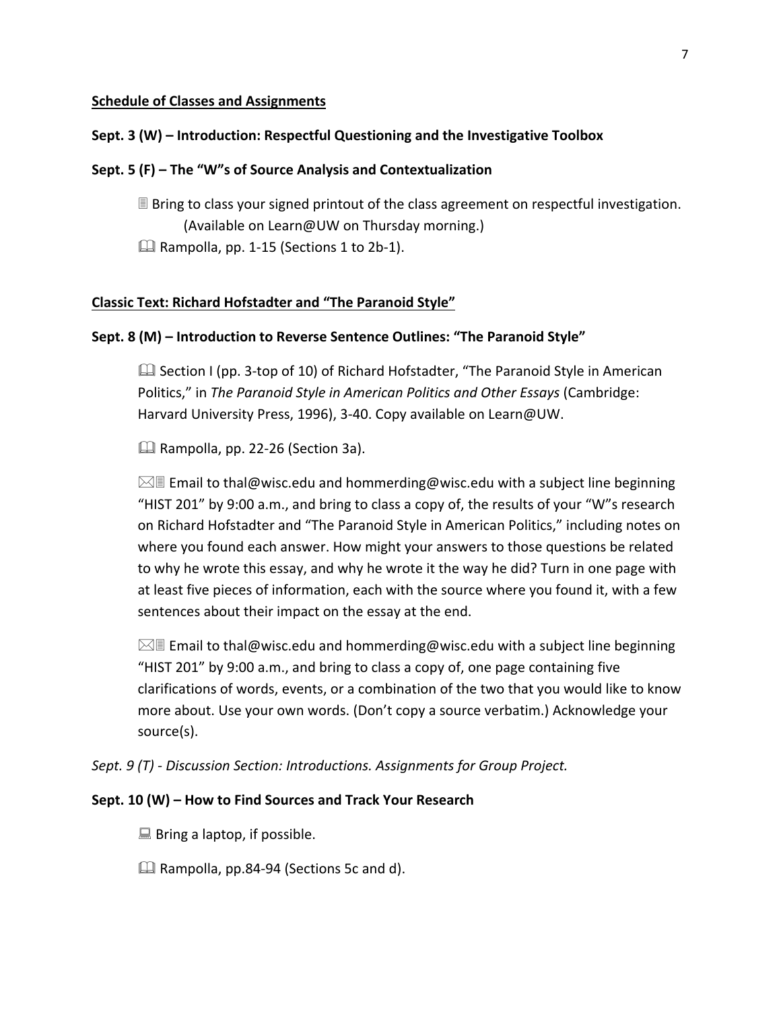#### **Schedule of Classes and Assignments**

#### **Sept. 3 (W) – Introduction: Respectful Questioning and the Investigative Toolbox**

#### **Sept. 5 (F) – The "W"s of Source Analysis and Contextualization**

 Bring to class your signed printout of the class agreement on respectful investigation. (Available on Learn@UW on Thursday morning.) Rampolla, pp. 1‐15 (Sections 1 to 2b‐1).

#### **Classic Text: Richard Hofstadter and "The Paranoid Style"**

#### **Sept. 8 (M) – Introduction to Reverse Sentence Outlines: "The Paranoid Style"**

 Section I (pp. 3‐top of 10) of Richard Hofstadter, "The Paranoid Style in American Politics," in *The Paranoid Style in American Politics and Other Essays* (Cambridge: Harvard University Press, 1996), 3‐40. Copy available on Learn@UW.

Rampolla, pp. 22‐26 (Section 3a).

 $\boxtimes$  Email to thal@wisc.edu and hommerding@wisc.edu with a subject line beginning "HIST 201" by 9:00 a.m., and bring to class a copy of, the results of your "W"s research on Richard Hofstadter and "The Paranoid Style in American Politics," including notes on where you found each answer. How might your answers to those questions be related to why he wrote this essay, and why he wrote it the way he did? Turn in one page with at least five pieces of information, each with the source where you found it, with a few sentences about their impact on the essay at the end.

 $\boxtimes$  Email to thal@wisc.edu and hommerding@wisc.edu with a subject line beginning "HIST 201" by 9:00 a.m., and bring to class a copy of, one page containing five clarifications of words, events, or a combination of the two that you would like to know more about. Use your own words. (Don't copy a source verbatim.) Acknowledge your source(s).

*Sept. 9 (T) ‐ Discussion Section: Introductions. Assignments for Group Project.*

#### **Sept. 10 (W) – How to Find Sources and Track Your Research**

 $\Box$  Bring a laptop, if possible.

Rampolla, pp.84‐94 (Sections 5c and d).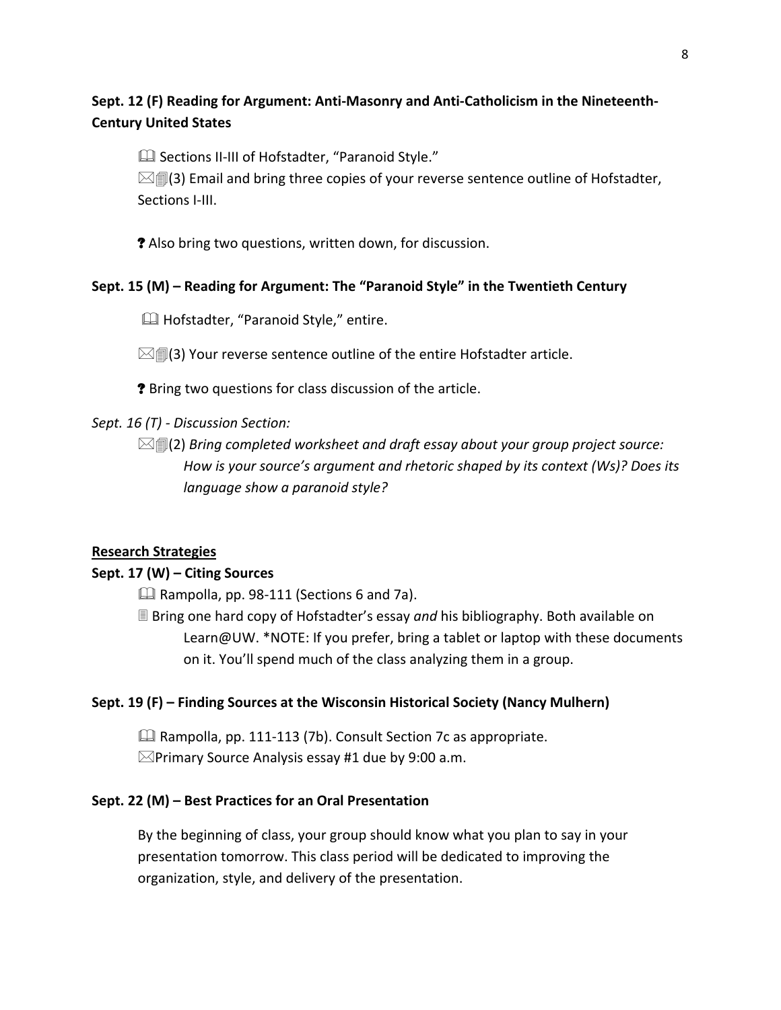# **Sept. 12 (F) Reading for Argument: Anti‐Masonry and Anti‐Catholicism in the Nineteenth‐ Century United States**

Sections II‐III of Hofstadter, "Paranoid Style."

 $\boxtimes$   $\textcircled{1}$  (3) Email and bring three copies of your reverse sentence outline of Hofstadter, Sections I-III.

? Also bring two questions, written down, for discussion.

## **Sept. 15 (M) – Reading for Argument: The "Paranoid Style" in the Twentieth Century**

**H** Hofstadter, "Paranoid Style," entire.

 $\mathbb{Z}$  (3) Your reverse sentence outline of the entire Hofstadter article.

? Bring two questions for class discussion of the article.

## *Sept. 16 (T) ‐ Discussion Section:*

(2) *Bring completed worksheet and draft essay about your group project source: How is your source's argument and rhetoric shaped by its context (Ws)? Does its language show a paranoid style?*

## **Research Strategies**

## **Sept. 17 (W) – Citing Sources**

 $\Box$  Rampolla, pp. 98-111 (Sections 6 and 7a).

 Bring one hard copy of Hofstadter's essay *and* his bibliography. Both available on Learn@UW. \*NOTE: If you prefer, bring a tablet or laptop with these documents on it. You'll spend much of the class analyzing them in a group.

## **Sept. 19 (F) – Finding Sources at the Wisconsin Historical Society (Nancy Mulhern)**

 Rampolla, pp. 111‐113 (7b). Consult Section 7c as appropriate.  $\boxtimes$ Primary Source Analysis essay #1 due by 9:00 a.m.

## **Sept. 22 (M) – Best Practices for an Oral Presentation**

By the beginning of class, your group should know what you plan to say in your presentation tomorrow. This class period will be dedicated to improving the organization, style, and delivery of the presentation.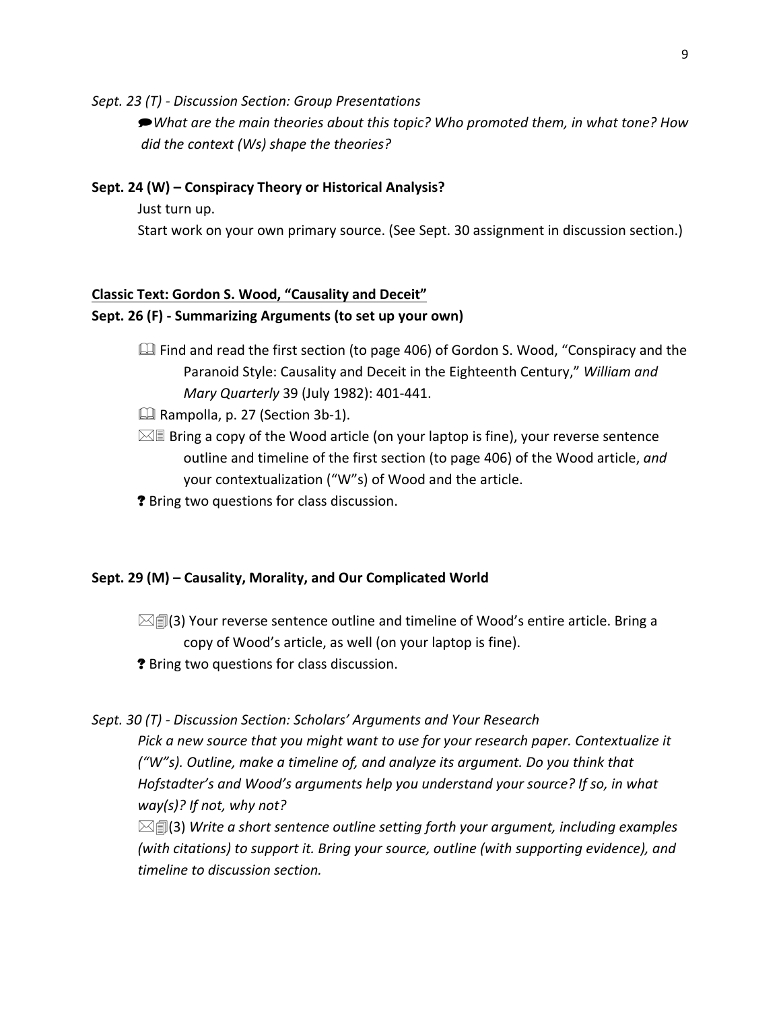*Sept. 23 (T) ‐ Discussion Section: Group Presentations* 

*What are the main theories about this topic? Who promoted them, in what tone? How did the context (Ws) shape the theories?*

### **Sept. 24 (W) – Conspiracy Theory or Historical Analysis?**

Just turn up.

Start work on your own primary source. (See Sept. 30 assignment in discussion section.)

#### **Classic Text: Gordon S. Wood, "Causality and Deceit"**

#### **Sept. 26 (F) ‐ Summarizing Arguments (to set up your own)**

- $\Box$  Find and read the first section (to page 406) of Gordon S. Wood, "Conspiracy and the Paranoid Style: Causality and Deceit in the Eighteenth Century," *William and Mary Quarterly* 39 (July 1982): 401‐441.
- Rampolla, p. 27 (Section 3b‐1).
- $\boxtimes$  Be ing a copy of the Wood article (on your laptop is fine), your reverse sentence outline and timeline of the first section (to page 406) of the Wood article, *and*  your contextualization ("W"s) of Wood and the article.
- ? Bring two questions for class discussion.

#### **Sept. 29 (M) – Causality, Morality, and Our Complicated World**

- $\boxtimes$   $\textcircled{1}$ (3) Your reverse sentence outline and timeline of Wood's entire article. Bring a copy of Wood's article, as well (on your laptop is fine).
- ? Bring two questions for class discussion.

#### *Sept. 30 (T) ‐ Discussion Section: Scholars' Arguments and Your Research*

*Pick a new source that you might want to use for your research paper. Contextualize it ("W"s). Outline, make a timeline of, and analyze its argument. Do you think that Hofstadter's and Wood's arguments help you understand your source? If so, in what way(s)? If not, why not?* 

(3) *Write a short sentence outline setting forth your argument, including examples (with citations) to support it. Bring your source, outline (with supporting evidence), and timeline to discussion section.*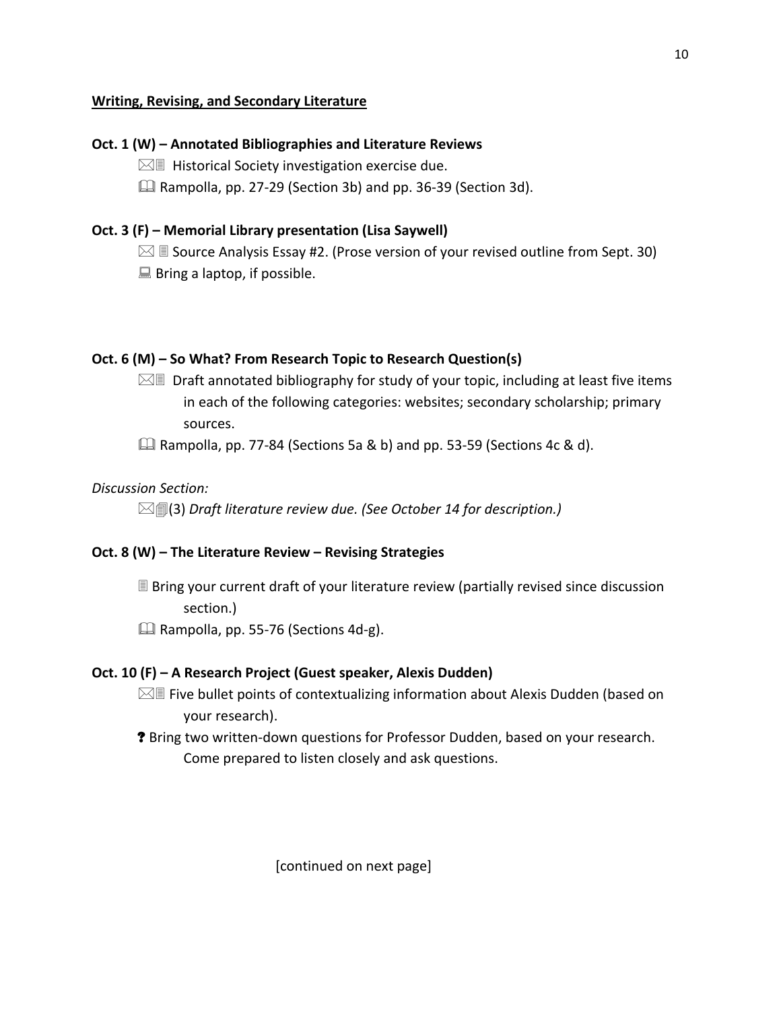## **Writing, Revising, and Secondary Literature**

## **Oct. 1 (W) – Annotated Bibliographies and Literature Reviews**

 $\boxtimes$  Historical Society investigation exercise due.

Rampolla, pp. 27‐29 (Section 3b) and pp. 36‐39 (Section 3d).

## **Oct. 3 (F) – Memorial Library presentation (Lisa Saywell)**

 $\boxtimes$  **Source Analysis Essay #2. (Prose version of your revised outline from Sept. 30)**  $\Box$  Bring a laptop, if possible.

## **Oct. 6 (M) – So What? From Research Topic to Research Question(s)**

 $\boxtimes$  Draft annotated bibliography for study of your topic, including at least five items in each of the following categories: websites; secondary scholarship; primary sources.

Rampolla, pp. 77‐84 (Sections 5a & b) and pp. 53‐59 (Sections 4c & d).

## *Discussion Section:*

(3) *Draft literature review due. (See October 14 for description.)*

## **Oct. 8 (W) – The Literature Review – Revising Strategies**

 Bring your current draft of your literature review (partially revised since discussion section.)

Rampolla, pp. 55‐76 (Sections 4d‐g).

## **Oct. 10 (F) – A Research Project (Guest speaker, Alexis Dudden)**

- $\boxtimes$  Five bullet points of contextualizing information about Alexis Dudden (based on your research).
- ? Bring two written‐down questions for Professor Dudden, based on your research. Come prepared to listen closely and ask questions.

[continued on next page]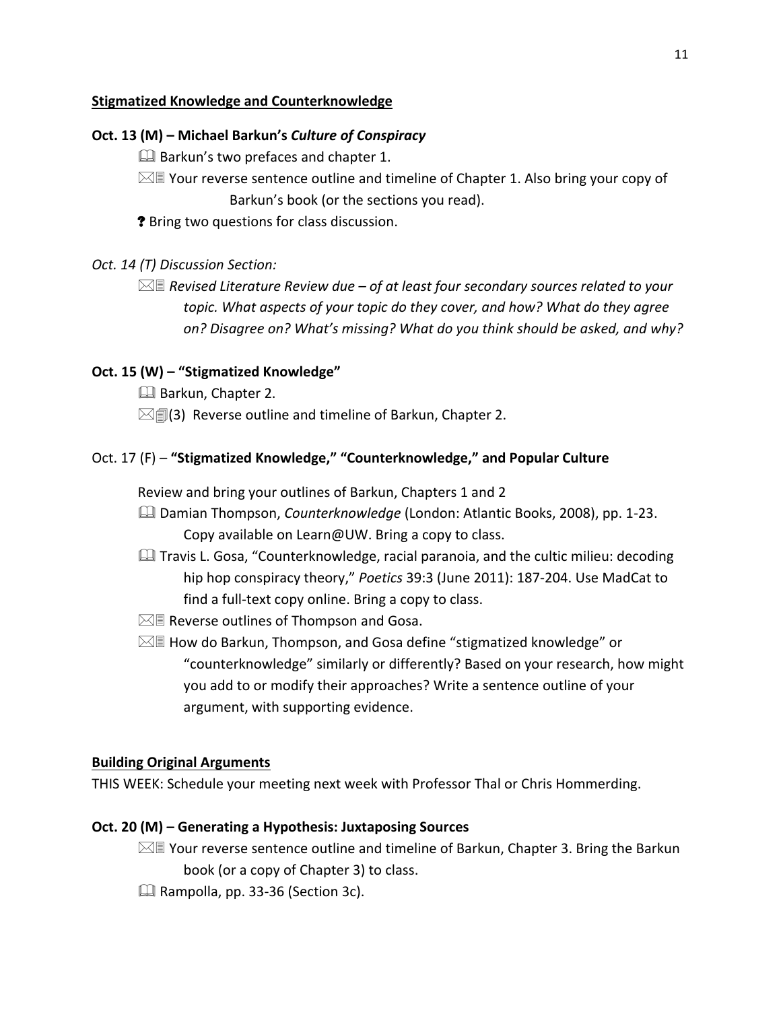## **Stigmatized Knowledge and Counterknowledge**

## **Oct. 13 (M) – Michael Barkun's** *Culture of Conspiracy*

**Barkun's two prefaces and chapter 1.** 

- $\boxtimes$  Your reverse sentence outline and timeline of Chapter 1. Also bring your copy of Barkun's book (or the sections you read).
- ? Bring two questions for class discussion.

## *Oct. 14 (T) Discussion Section:*

 *Revised Literature Review due – of at least four secondary sources related to your topic. What aspects of your topic do they cover, and how? What do they agree on? Disagree on? What's missing? What do you think should be asked, and why?*

## **Oct. 15 (W) – "Stigmatized Knowledge"**

- Barkun, Chapter 2.
- $\boxtimes$  (3) Reverse outline and timeline of Barkun, Chapter 2.

## Oct. 17 (F) – **"Stigmatized Knowledge," "Counterknowledge," and Popular Culture**

Review and bring your outlines of Barkun, Chapters 1 and 2

- Damian Thompson, *Counterknowledge* (London: Atlantic Books, 2008), pp. 1‐23. Copy available on Learn@UW. Bring a copy to class.
- **Quality Travis L. Gosa, "Counterknowledge, racial paranoia, and the cultic milieu: decoding** hip hop conspiracy theory," *Poetics* 39:3 (June 2011): 187‐204. Use MadCat to find a full-text copy online. Bring a copy to class.
- $\boxtimes$  Reverse outlines of Thompson and Gosa.
- $\boxtimes$  How do Barkun, Thompson, and Gosa define "stigmatized knowledge" or "counterknowledge" similarly or differently? Based on your research, how might you add to or modify their approaches? Write a sentence outline of your argument, with supporting evidence.

## **Building Original Arguments**

THIS WEEK: Schedule your meeting next week with Professor Thal or Chris Hommerding.

## **Oct. 20 (M) – Generating a Hypothesis: Juxtaposing Sources**

- $\boxtimes$  Your reverse sentence outline and timeline of Barkun, Chapter 3. Bring the Barkun book (or a copy of Chapter 3) to class.
- Rampolla, pp. 33‐36 (Section 3c).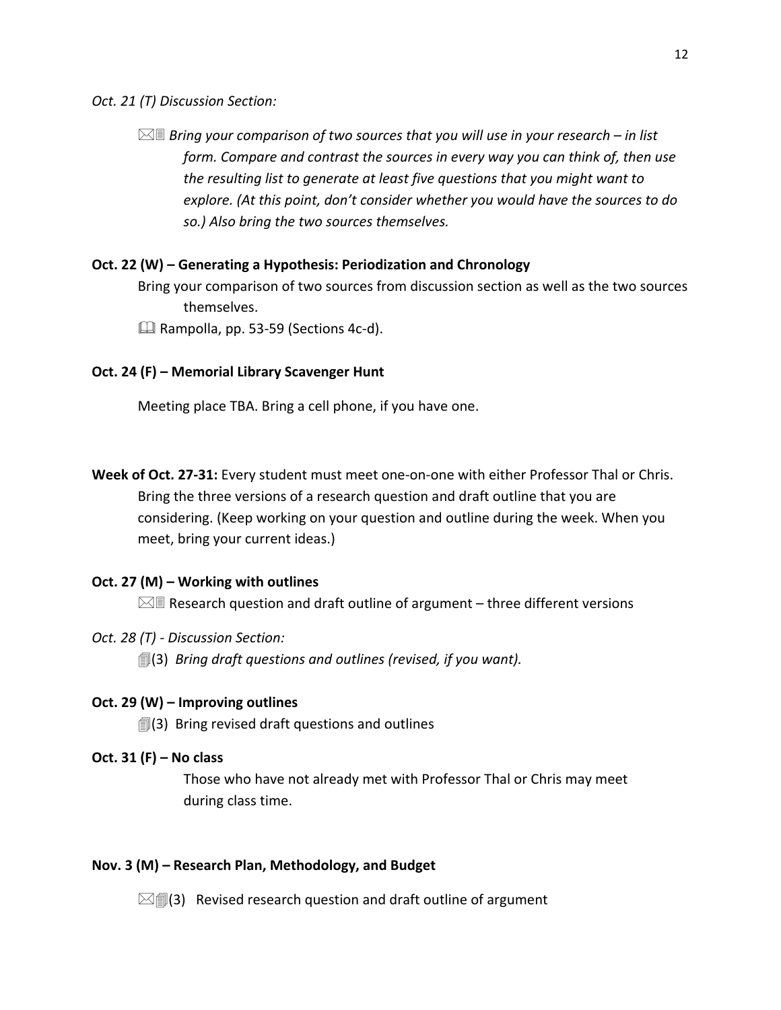*Oct. 21 (T) Discussion Section:* 

 *Bring your comparison of two sources that you will use in your research – in list form. Compare and contrast the sources in every way you can think of, then use the resulting list to generate at least five questions that you might want to explore. (At this point, don't consider whether you would have the sources to do so.) Also bring the two sources themselves.*

## **Oct. 22 (W) – Generating a Hypothesis: Periodization and Chronology**

Bring your comparison of two sources from discussion section as well as the two sources themselves.

Rampolla, pp. 53‐59 (Sections 4c‐d).

## **Oct. 24 (F) – Memorial Library Scavenger Hunt**

Meeting place TBA. Bring a cell phone, if you have one.

**Week of Oct. 27‐31:** Every student must meet one‐on‐one with either Professor Thal or Chris. Bring the three versions of a research question and draft outline that you are considering. (Keep working on your question and outline during the week. When you meet, bring your current ideas.)

## **Oct. 27 (M) – Working with outlines**

 $\boxtimes$  Research question and draft outline of argument – three different versions

## *Oct. 28 (T) ‐ Discussion Section:*

(3) *Bring draft questions and outlines (revised, if you want).*

## **Oct. 29 (W) – Improving outlines**

 $\mathbb{I}(3)$  Bring revised draft questions and outlines

## **Oct. 31 (F) – No class**

Those who have not already met with Professor Thal or Chris may meet during class time.

## **Nov. 3 (M) – Research Plan, Methodology, and Budget**

 $\mathbb{Z}$  (3) Revised research question and draft outline of argument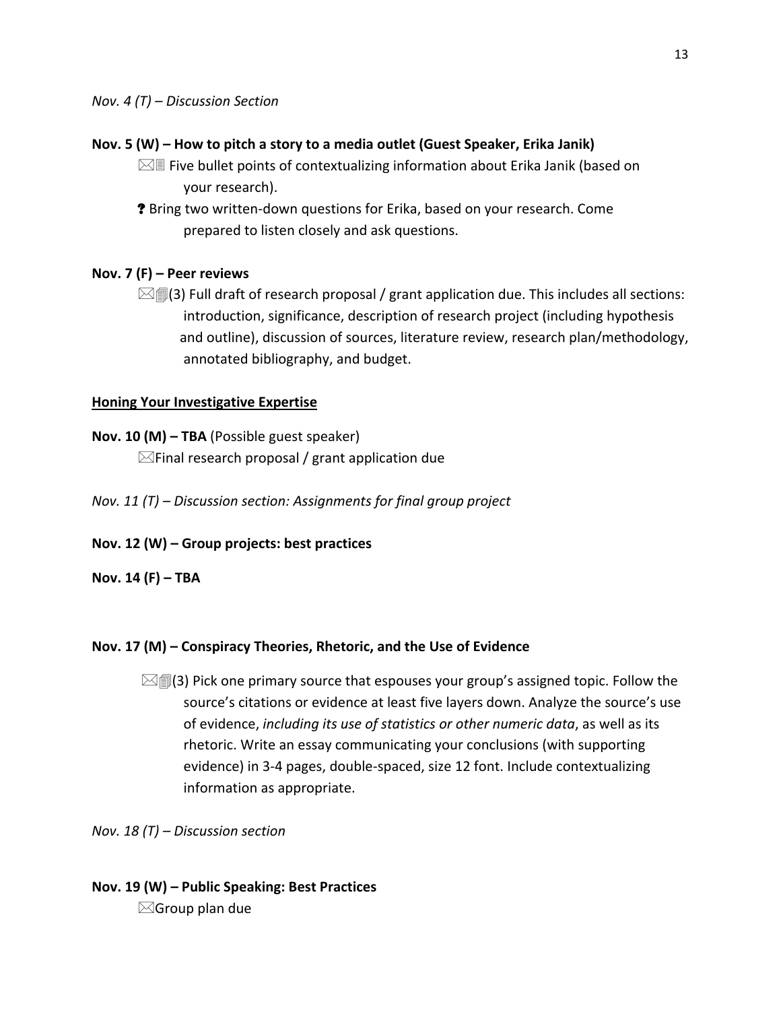#### **Nov. 5 (W) – How to pitch a story to a media outlet (Guest Speaker, Erika Janik)**

- $\boxtimes$  Five bullet points of contextualizing information about Erika Janik (based on your research).
- ? Bring two written‐down questions for Erika, based on your research. Come prepared to listen closely and ask questions.

### **Nov. 7 (F) – Peer reviews**

 $\mathbb{Z}$  (3) Full draft of research proposal / grant application due. This includes all sections: introduction, significance, description of research project (including hypothesis and outline), discussion of sources, literature review, research plan/methodology, annotated bibliography, and budget.

#### **Honing Your Investigative Expertise**

#### **Nov. 10 (M) – TBA** (Possible guest speaker)

 $\boxtimes$ Final research proposal / grant application due

- *Nov. 11 (T) – Discussion section: Assignments for final group project*
- **Nov. 12 (W) – Group projects: best practices**

#### **Nov. 14 (F) – TBA**

#### **Nov. 17 (M) – Conspiracy Theories, Rhetoric, and the Use of Evidence**

 $\boxtimes$  (3) Pick one primary source that espouses your group's assigned topic. Follow the source's citations or evidence at least five layers down. Analyze the source's use of evidence, *including its use of statistics or other numeric data*, as well as its rhetoric. Write an essay communicating your conclusions (with supporting evidence) in 3‐4 pages, double‐spaced, size 12 font. Include contextualizing information as appropriate.

*Nov. 18 (T) – Discussion section*

## **Nov. 19 (W) – Public Speaking: Best Practices**  $\boxtimes$ Group plan due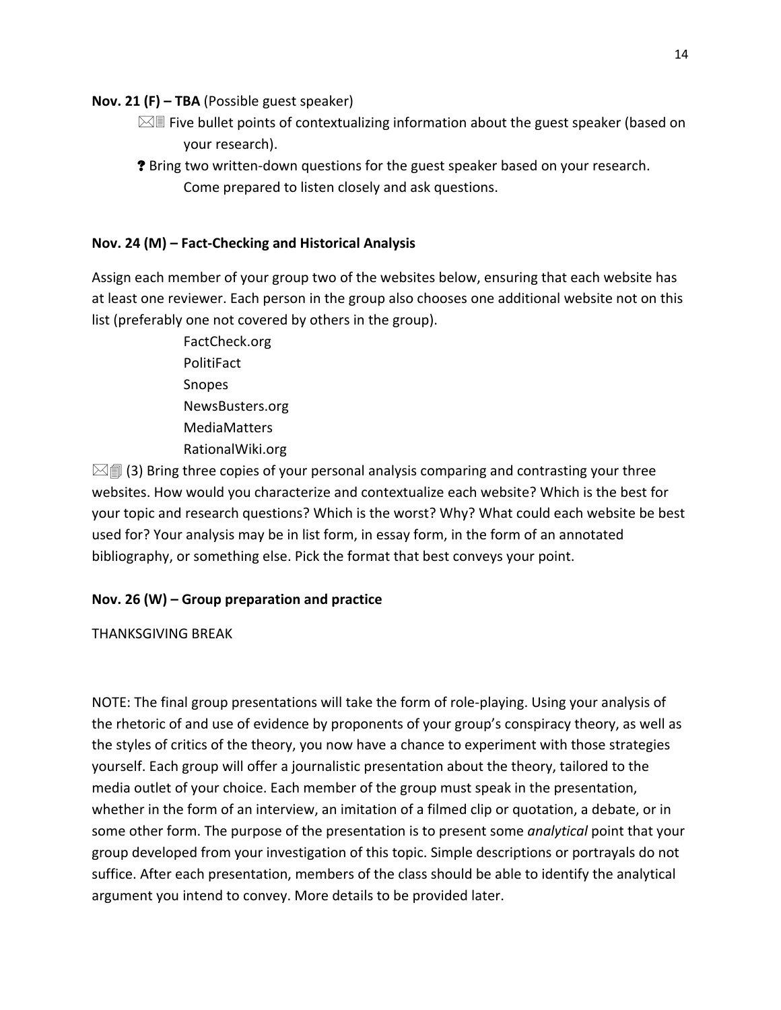### **Nov. 21 (F) – TBA** (Possible guest speaker)

- $\boxtimes$  Five bullet points of contextualizing information about the guest speaker (based on your research).
- ? Bring two written‐down questions for the guest speaker based on your research. Come prepared to listen closely and ask questions.

## **Nov. 24 (M) – Fact‐Checking and Historical Analysis**

Assign each member of your group two of the websites below, ensuring that each website has at least one reviewer. Each person in the group also chooses one additional website not on this list (preferably one not covered by others in the group).

> FactCheck.org **PolitiFact**  Snopes NewsBusters.org MediaMatters RationalWiki.org

 $\boxtimes$  (3) Bring three copies of your personal analysis comparing and contrasting your three websites. How would you characterize and contextualize each website? Which is the best for your topic and research questions? Which is the worst? Why? What could each website be best used for? Your analysis may be in list form, in essay form, in the form of an annotated bibliography, or something else. Pick the format that best conveys your point.

## **Nov. 26 (W) – Group preparation and practice**

THANKSGIVING BREAK

NOTE: The final group presentations will take the form of role‐playing. Using your analysis of the rhetoric of and use of evidence by proponents of your group's conspiracy theory, as well as the styles of critics of the theory, you now have a chance to experiment with those strategies yourself. Each group will offer a journalistic presentation about the theory, tailored to the media outlet of your choice. Each member of the group must speak in the presentation, whether in the form of an interview, an imitation of a filmed clip or quotation, a debate, or in some other form. The purpose of the presentation is to present some *analytical* point that your group developed from your investigation of this topic. Simple descriptions or portrayals do not suffice. After each presentation, members of the class should be able to identify the analytical argument you intend to convey. More details to be provided later.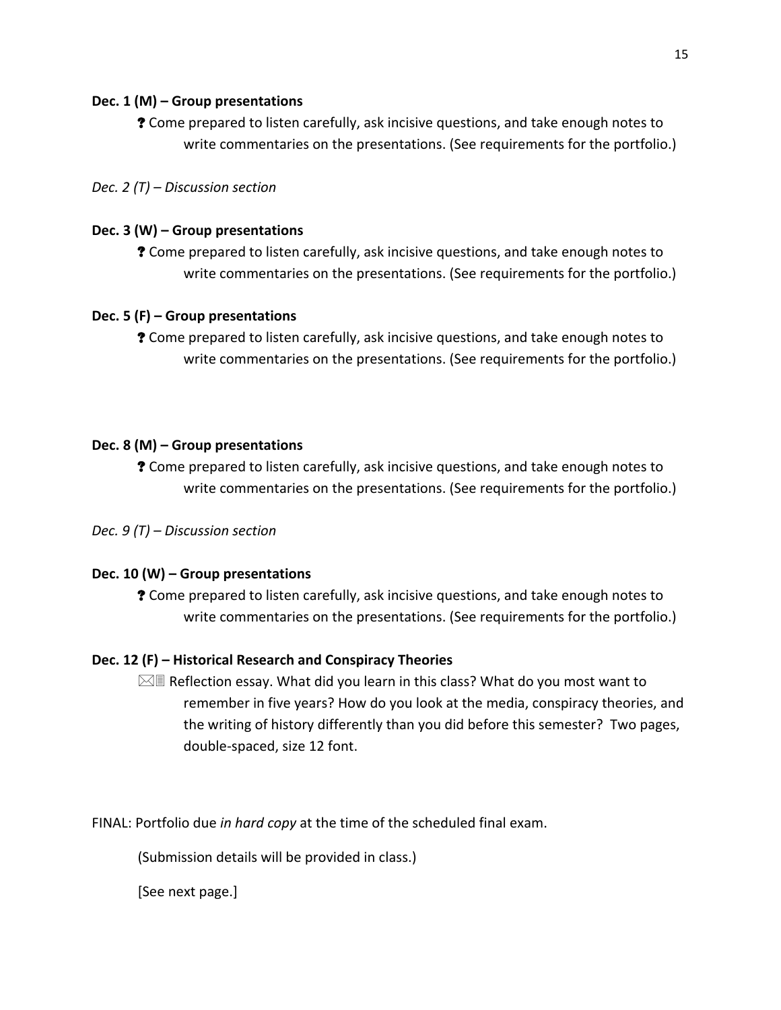## **Dec. 1 (M) – Group presentations**

? Come prepared to listen carefully, ask incisive questions, and take enough notes to write commentaries on the presentations. (See requirements for the portfolio.)

*Dec. 2 (T) – Discussion section*

## **Dec. 3 (W) – Group presentations**

? Come prepared to listen carefully, ask incisive questions, and take enough notes to write commentaries on the presentations. (See requirements for the portfolio.)

## **Dec. 5 (F) – Group presentations**

? Come prepared to listen carefully, ask incisive questions, and take enough notes to write commentaries on the presentations. (See requirements for the portfolio.)

## **Dec. 8 (M) – Group presentations**

? Come prepared to listen carefully, ask incisive questions, and take enough notes to write commentaries on the presentations. (See requirements for the portfolio.)

*Dec. 9 (T) – Discussion section*

## **Dec. 10 (W) – Group presentations**

? Come prepared to listen carefully, ask incisive questions, and take enough notes to write commentaries on the presentations. (See requirements for the portfolio.)

## **Dec. 12 (F) – Historical Research and Conspiracy Theories**

 $\boxtimes$  Reflection essay. What did you learn in this class? What do you most want to remember in five years? How do you look at the media, conspiracy theories, and the writing of history differently than you did before this semester? Two pages, double‐spaced, size 12 font.

FINAL: Portfolio due *in hard copy* at the time of the scheduled final exam.

(Submission details will be provided in class.)

[See next page.]